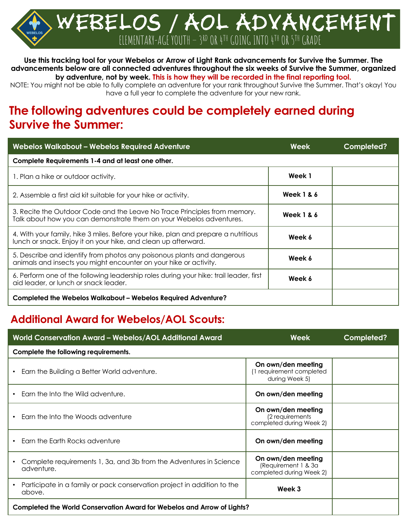Webelos **/** aol ADVANCEMENT ELEMENTARY-AGE YOUTH - 3RD OR 4TH GOING INTO 4TH OR 5TH GRADE

#### **Use this tracking tool for your Webelos or Arrow of Light Rank advancements for Survive the Summer. The advancements below are all connected adventures throughout the six weeks of Survive the Summer, organized by adventure, not by week. This is how they will be recorded in the final reporting tool.**

NOTE: You might not be able to fully complete an adventure for your rank throughout Survive the Summer. That's okay! You have a full year to complete the adventure for your new rank.

# **The following adventures could be completely earned during Survive the Summer:**

| <b>Webelos Walkabout - Webelos Required Adventure</b>                                                                                                | Week                  | Completed? |
|------------------------------------------------------------------------------------------------------------------------------------------------------|-----------------------|------------|
| Complete Requirements 1-4 and at least one other.                                                                                                    |                       |            |
| 1. Plan a hike or outdoor activity.                                                                                                                  | Week 1                |            |
| 2. Assemble a first aid kit suitable for your hike or activity.                                                                                      | <b>Week 1 &amp; 6</b> |            |
| 3. Recite the Outdoor Code and the Leave No Trace Principles from memory.<br>Talk about how you can demonstrate them on your Webelos adventures.     | <b>Week 1 &amp; 6</b> |            |
| 4. With your family, hike 3 miles. Before your hike, plan and prepare a nutritious<br>lunch or snack. Enjoy it on your hike, and clean up afterward. | Week 6                |            |
| 5. Describe and identify from photos any poisonous plants and dangerous<br>animals and insects you might encounter on your hike or activity.         | Week 6                |            |
| 6. Perform one of the following leadership roles during your hike: trail leader, first<br>aid leader, or lunch or snack leader.                      | Week 6                |            |
| Completed the Webelos Walkabout - Webelos Required Adventure?                                                                                        |                       |            |

#### **Additional Award for Webelos/AOL Scouts:**

| World Conservation Award - Webelos/AOL Additional Award                                        | <b>Week</b>                                                           | Completed? |
|------------------------------------------------------------------------------------------------|-----------------------------------------------------------------------|------------|
| Complete the following requirements.                                                           |                                                                       |            |
| Earn the Building a Better World adventure.<br>$\bullet$                                       | On own/den meeting<br>1 requirement completed<br>during Week 5)       |            |
| Earn the Into the Wild adventure.<br>$\bullet$                                                 | On own/den meeting                                                    |            |
| Earn the Into the Woods adventure                                                              | On own/den meeting<br>(2 requirements<br>completed during Week 2)     |            |
| Earn the Earth Rocks adventure                                                                 | On own/den meeting                                                    |            |
| Complete requirements 1, 3a, and 3b from the Adventures in Science<br>adventure.               | On own/den meeting<br>(Requirement 1 & 3a<br>completed during Week 2) |            |
| Participate in a family or pack conservation project in addition to the<br>$\bullet$<br>above. | Week 3                                                                |            |
| Completed the World Conservation Award for Webelos and Arrow of Lights?                        |                                                                       |            |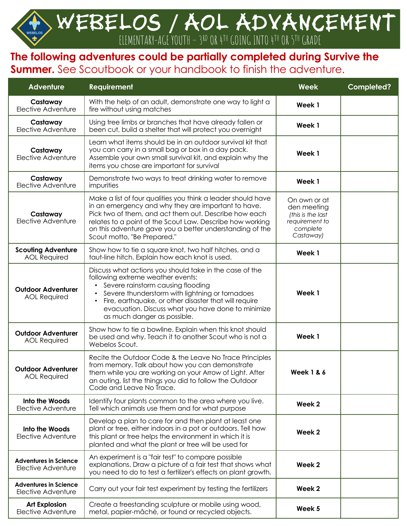# WEBELOS / AOL ADVANCEMENT ELEMENTARY-AGE YOUTH - 3RD OR 4TH GOING INTO 4TH OR 5TH GRADE

## **The following adventures could be partially completed during Survive the Summer.** See Scoutbook or your handbook to finish the adventure.

| <b>Adventure</b>                                   | <b>Requirement</b>                                                                                                                                                                                                                                                                                                                              | Week                                                                                        | Completed? |
|----------------------------------------------------|-------------------------------------------------------------------------------------------------------------------------------------------------------------------------------------------------------------------------------------------------------------------------------------------------------------------------------------------------|---------------------------------------------------------------------------------------------|------------|
| Castaway<br>Elective Adventure                     | With the help of an adult, demonstrate one way to light a<br>fire without using matches                                                                                                                                                                                                                                                         | Week 1                                                                                      |            |
| Castaway<br>Elective Adventure                     | Using tree limbs or branches that have already fallen or<br>been cut, build a shelter that will protect you overnight                                                                                                                                                                                                                           | Week 1                                                                                      |            |
| Castaway<br>Elective Adventure                     | Learn what items should be in an outdoor survival kit that<br>you can carry in a small bag or box in a day pack.<br>Assemble your own small survival kit, and explain why the<br>items you chose are important for survival                                                                                                                     | Week 1                                                                                      |            |
| Castaway<br><b>Elective Adventure</b>              | Demonstrate two ways to treat drinking water to remove<br>impurities                                                                                                                                                                                                                                                                            | Week 1                                                                                      |            |
| Castaway<br>Elective Adventure                     | Make a list of four qualities you think a leader should have<br>in an emergency and why they are important to have.<br>Pick two of them, and act them out. Describe how each<br>relates to a point of the Scout Law. Describe how working<br>on this adventure gave you a better understanding of the<br>Scout motto, "Be Prepared."            | On own or at<br>den meeting<br>(this is the last<br>requirement to<br>complete<br>Castaway) |            |
| <b>Scouting Adventure</b><br><b>AOL Required</b>   | Show how to tie a square knot, two half hitches, and a<br>taut-line hitch. Explain how each knot is used.                                                                                                                                                                                                                                       | Week 1                                                                                      |            |
| <b>Outdoor Adventurer</b><br><b>AOL Required</b>   | Discuss what actions you should take in the case of the<br>following extreme weather events:<br>Severe rainstorm causing flooding<br>Severe thunderstorm with lightning or tornadoes<br>Fire, earthquake, or other disaster that will require<br>$\bullet$<br>evacuation. Discuss what you have done to minimize<br>as much danger as possible. | Week 1                                                                                      |            |
| <b>Outdoor Adventurer</b><br><b>AOL Required</b>   | Show how to tie a bowline. Explain when this knot should<br>be used and why. Teach it to another Scout who is not a<br>Webelos Scout.                                                                                                                                                                                                           | Week 1                                                                                      |            |
| <b>Outdoor Adventurer</b><br><b>AOL Required</b>   | Recite the Outdoor Code & the Leave No Trace Principles<br>from memory. Talk about how you can demonstrate<br>them while you are working on your Arrow of Light. After<br>an outing, list the things you did to follow the Outdoor<br>Code and Leave No Trace.                                                                                  | <b>Week 1 &amp; 6</b>                                                                       |            |
| <b>Into the Woods</b><br>Elective Adventure        | Identify four plants common to the area where you live.<br>Tell which animals use them and for what purpose                                                                                                                                                                                                                                     | Week 2                                                                                      |            |
| Into the Woods<br>Elective Adventure               | Develop a plan to care for and then plant at least one<br>plant or tree, either indoors in a pot or outdoors. Tell how<br>this plant or tree helps the environment in which it is<br>planted and what the plant or tree will be used for                                                                                                        | Week 2                                                                                      |            |
| <b>Adventures in Science</b><br>Elective Adventure | An experiment is a "fair test" to compare possible<br>explanations. Draw a picture of a fair test that shows what<br>you need to do to test a fertilizer's effects on plant growth.                                                                                                                                                             | Week 2                                                                                      |            |
| <b>Adventures in Science</b><br>Elective Adventure | Carry out your fair test experiment by testing the fertilizers                                                                                                                                                                                                                                                                                  | Week 2                                                                                      |            |
| <b>Art Explosion</b><br>Elective Adventure         | Create a freestanding sculpture or mobile using wood,<br>metal, papier-mâché, or found or recycled objects.                                                                                                                                                                                                                                     | Week 5                                                                                      |            |